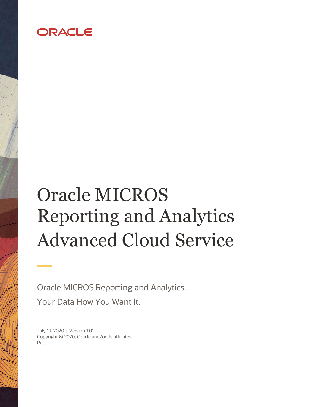# ORACLE

# Oracle MICROS Advanced Cloud Service Reporting and Analytics

Oracle MICROS Reporting and Analytics.

Your Data How You Want It.

 July 19, 2020 | Version 1.01 Copyright © 2020, Oracle and/or its affiliates Public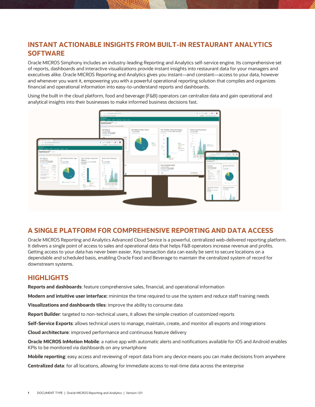## **INSTANT ACTIONABLE INSIGHTS FROM BUILT-IN RESTAURANT ANALYTICS SOFTWARE**

 Oracle MICROS Simphony includes an industry-leading Reporting and Analytics self-service engine. Its comprehensive set of reports, dashboards and interactive visualizations provide instant insights into restaurant data for your managers and executives alike. Oracle MICROS Reporting and Analytics gives you instant—and constant—access to your data, however and whenever you want it, empowering you with a powerful operational reporting solution that compiles and organizes financial and operational information into easy-to-understand reports and dashboards.

 Using the built in the cloud platform, food and beverage (F&B) operators can centralize data and gain operational and analytical insights into their businesses to make informed business decisions fast.



### **A SINGLE PLATFORM FOR COMPREHENSIVE REPORTING AND DATA ACCESS**

 Oracle MICROS Reporting and Analytics Advanced Cloud Service is a powerful, centralized web-delivered reporting platform. It delivers a single point of access to sales and operational data that helps F&B operators increase revenue and profits. Getting access to your data has never been easier. Key transaction data can easily be sent to secure locations on a dependable and scheduled basis, enabling Oracle Food and Beverage to maintain the centralized system of record for downstream systems.

### **HIGHLIGHTS**

 **Reports and dashboards**: feature comprehensive sales, financial, and operational information

**Modern and intuitive user interface:** minimize the time required to use the system and reduce staff training needs

**Visualizations and dashboards tiles**: improve the ability to consume data

**Report Builder**: targeted to non-technical users, it allows the simple creation of customized reports

**Self-Service Exports**: allows technical users to manage, maintain, create, and monitor all exports and integrations

**Cloud architecture**: improved performance and continuous feature delivery

 **Oracle MICROS InMotion Mobile**: a native app with automatic alerts and notifications available for iOS and Android enables KPIs to be monitored via dashboards on any smartphone

**Mobile reporting**: easy access and reviewing of report data from any device means you can make decisions from anywhere

**Centralized data**: for all locations, allowing for immediate access to real-time data across the enterprise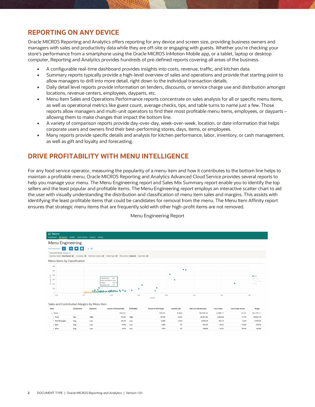#### **REPORTING ON ANY DEVICE**

 Oracle MICROS Reporting and Analytics offers reporting for any device and screen size, providing business owners and managers with sales and productivity data while they are off-site or engaging with guests. Whether you're checking your store's performance from a smartphone using the Oracle MICROS InMotion Mobile app, or a tablet, laptop or desktop computer, Reporting and Analytics provides hundreds of pre-defined reports covering all areas of the business.

- A configurable real-time dashboard provides insights into costs, revenue, traffic, and kitchen data.
- • Summary reports typically provide a high-level overview of sales and operations and provide that starting point to allow managers to drill into more detail, right down to the individual transaction details.
- • Daily detail level reports provide information on tenders, discounts, or service charge use and distribution amongst locations, revenue centers, employees, dayparts, etc.
- • Menu Item Sales and Operations Performance reports concentrate on sales analysis for all or specific menu items, as well as operational metrics like guest count, average checks, tips, and table turns to name just a few. Those reports allow managers and multi-unit operators to find their most profitable menu items, employees, or dayparts – allowing them to make changes that impact the bottom line.
- • A variety of comparison reports provide day-over-day, week-over-week, location, or date information that helps corporate users and owners find their best-performing stores, days, items, or employees.
- • Many reports provide specific details and analysis for kitchen performance, labor, inventory, or cash management, as well as gift and loyalty and forecasting.

#### **DRIVE PROFITABILITY WITH MENU INTELLIGENCE**

 For any food service operator, measuring the popularity of a menu item and how it contributes to the bottom line helps to maintain a profitable menu. Oracle MICROS Reporting and Analytics Advanced Cloud Service provides several reports to help you manage your menu. The Menu Engineering report and Sales Mix Summary report enable you to identify the top sellers and the least popular and profitable items. The Menu Engineering report employs an interactive scatter chart to aid the user with visually understanding the distribution and classification of menu item sales and margins. This assists with identifying the least profitable items that could be candidates for removal from the menu. The Menu Item Affinity report ensures that strategic menu items that are frequently sold with other high-profit items are not removed.

| M Reports                                                                                                                                                | Dashboard My Reports Builder Guest Checks Exports Library |                    |                                                                                                                       |               |                                |                      |                                  |                      |                              |                         |
|----------------------------------------------------------------------------------------------------------------------------------------------------------|-----------------------------------------------------------|--------------------|-----------------------------------------------------------------------------------------------------------------------|---------------|--------------------------------|----------------------|----------------------------------|----------------------|------------------------------|-------------------------|
|                                                                                                                                                          | Menu Engineering                                          |                    |                                                                                                                       |               |                                |                      |                                  |                      |                              |                         |
| <b>Edit Parameters</b>                                                                                                                                   | $\mathbb{R}$                                              | ය පි               |                                                                                                                       |               |                                |                      |                                  |                      |                              |                         |
| Parameter Name: Default                                                                                                                                  |                                                           |                    | Business Dates: Most Recent @ Locations: All Revenue Centers: All Order Type: All Menu Items: Selected Day Parts: All |               |                                |                      |                                  |                      |                              |                         |
|                                                                                                                                                          | Menu Items by Classification                              |                    |                                                                                                                       |               |                                |                      |                                  |                      |                              |                         |
| 600<br>500                                                                                                                                               |                                                           |                    |                                                                                                                       |               |                                | a a                  |                                  |                      |                              |                         |
| $\begin{array}{c}\n 10 \\  \hline\n 0 \\  0 \\  \hline\n 0 \\  0\n \end{array}$ $\begin{array}{c}\n 400 \\  \hline\n 300 \\  \hline\n 200\n \end{array}$ |                                                           |                    | Classification<br>Star                                                                                                |               |                                | ٠                    |                                  |                      |                              | <b>Star</b><br>· Puzzle |
|                                                                                                                                                          |                                                           |                    | Menu Item Name Juice<br>165.74<br>Mariein<br>Quantity Sold<br>117                                                     |               | ٠                              |                      |                                  |                      | ٠                            | · Plow Horse<br>$+$ Dog |
| 100<br>o                                                                                                                                                 |                                                           | <b>A. La Santa</b> | ۰.<br><b>Single Manager</b>                                                                                           | ٠             | ٠                              |                      |                                  |                      |                              |                         |
| $-0.3K$                                                                                                                                                  | 0.0                                                       |                    | 0.3K                                                                                                                  | 0.6K          | 0.9K<br>Margin                 |                      | 1.2K                             | 1.5K                 |                              | 1.8K                    |
|                                                                                                                                                          | Sales and Contribution Margins by Menu Item               |                    |                                                                                                                       |               |                                |                      |                                  |                      |                              |                         |
| Name                                                                                                                                                     | Classification                                            | Popularity         | <b>Percent of Total Quantity</b>                                                                                      | Profitability | <b>Percent of Total Margin</b> | <b>Quantity Sold</b> | <b>Sales Less Item Discounts</b> | <b>Cost of Sales</b> | <b>Cost of Sales Percent</b> | Margin                  |
| A Total                                                                                                                                                  |                                                           | ٠                  | 100.0%                                                                                                                | ×             | 100.0%                         | 8,304                | 38,958.22                        | 4,788.11             | 12.3%                        | 34,170.11               |
| Food<br>> N/A Beverages                                                                                                                                  | Star<br><b>Dog</b>                                        | High<br>Low        | 75.4%<br>23.2%                                                                                                        | High<br>Low   | 87.9%<br>10.8%                 | 6,264<br>1,924       | 34,391.82<br>4,035.49            | 4,369.63<br>332.16   | 12.7%<br>8.2%                | 30,022.19<br>3,703.33   |

0.8%

73

322.07

208.84

43.31

43.01

13.4%

20.6%

278.76

165.83

0.9% Low

0.5%

#### Menu Engineering Report

Dog

Low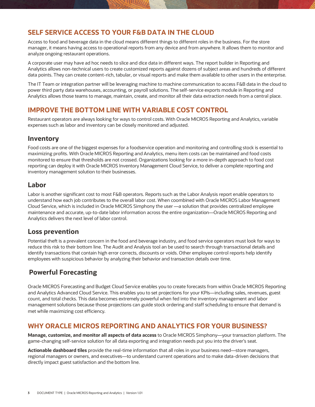#### **SELF SERVICE ACCESS TO YOUR F&B DATA IN THE CLOUD**

 Access to food and beverage data in the cloud means different things to different roles in the business. For the store manager, it means having access to operational reports from any device and from anywhere. It allows them to monitor and analyze ongoing restaurant operations.

 A corporate user may have ad hoc needs to slice and dice data in different ways. The report builder in Reporting and Analytics allows non-technical users to create customized reports against dozens of subject areas and hundreds of different data points. They can create content-rich, tabular, or visual reports and make them available to other users in the enterprise.

 The IT Team or integration partner will be leveraging machine to machine communication to access F&B data in the cloud to power third party data warehouses, accounting, or payroll solutions. The self-service exports module in Reporting and Analytics allows those teams to manage, maintain, create, and monitor all their data extraction needs from a central place.

#### **IMPROVE THE BOTTOM LINE WITH VARIABLE COST CONTROL**

 Restaurant operators are always looking for ways to control costs. With Oracle MICROS Reporting and Analytics, variable expenses such as labor and inventory can be closely monitored and adjusted.

#### **Inventory**

 Food costs are one of the biggest expenses for a foodservice operation and monitoring and controlling stock is essential to maximizing profits. With Oracle MICROS Reporting and Analytics, menu item costs can be maintained and food costs monitored to ensure that thresholds are not crossed. Organizations looking for a more in-depth approach to food cost reporting can deploy it with Oracle MICROS Inventory Management Cloud Service, to deliver a complete reporting and inventory management solution to their businesses.

#### **Labor**

 Labor is another significant cost to most F&B operators. Reports such as the Labor Analysis report enable operators to understand how each job contributes to the overall labor cost. When coombined with Oracle MICROS Labor Management Cloud Service, which is included in Oracle MICROS Simphony the user —a solution that provides centralized employee maintenance and accurate, up-to-date labor information across the entire organization—Oracle MICROS Reporting and Analytics delivers the next level of labor control.

#### **Loss prevention**

 Potential theft is a prevalent concern in the food and beverage industry, and food service operators must look for ways to reduce this risk to their bottom line. The Audit and Analysis tool an be used to search through transactional details and identify transactions that contain high error corrects, discounts or voids. Other employee control reports help identify employees with suspicious behavior by analyzing their behavior and transaction details over time.

### **Powerful Forecasting**

 Oracle MICROS Forecasting and Budget Cloud Service enables you to create forecasts from within Oracle MICROS Reporting and Analytics Advanced Cloud Service. This enables you to set projections for your KPIs—including sales, revenues, guest count, and total checks. This data becomes extremely powerful when fed into the inventory management and labor management solutions because those projections can guide stock ordering and staff scheduling to ensure that demand is met while maximizing cost efficiency.

#### **WHY ORACLE MICROS REPORTING AND ANALYTICS FOR YOUR BUSINESS?**

 **Manage, customize, and monitor all aspects of data access** to Oracle MICROS Simphony—your transaction platform. The game-changing self-service solution for all data exporting and integration needs put you into the driver's seat.

 **Actionable dashboard tiles** provide the real-time information that all roles in your business need—store managers, regional managers or owners, and executives—to understand current operations and to make data-driven decisions that directly impact guest satisfaction and the bottom line.